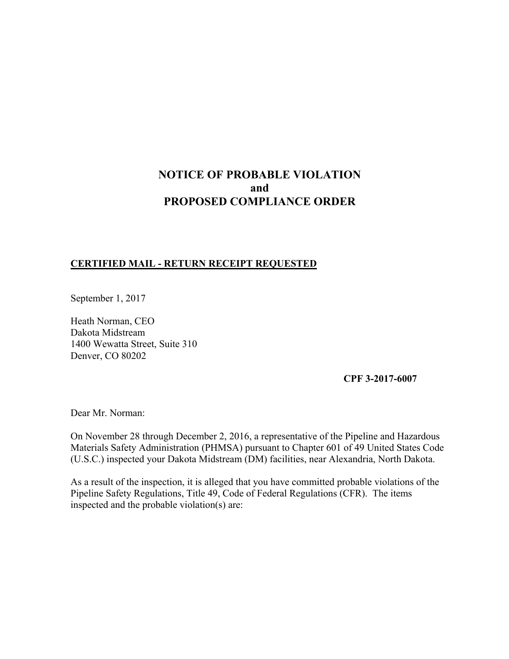# **NOTICE OF PROBABLE VIOLATION and PROPOSED COMPLIANCE ORDER**

## **CERTIFIED MAIL - RETURN RECEIPT REQUESTED**

September 1, 2017

Heath Norman, CEO Dakota Midstream 1400 Wewatta Street, Suite 310 Denver, CO 80202

**CPF 3-2017-6007**

Dear Mr. Norman:

On November 28 through December 2, 2016, a representative of the Pipeline and Hazardous Materials Safety Administration (PHMSA) pursuant to Chapter 601 of 49 United States Code (U.S.C.) inspected your Dakota Midstream (DM) facilities, near Alexandria, North Dakota.

As a result of the inspection, it is alleged that you have committed probable violations of the Pipeline Safety Regulations, Title 49, Code of Federal Regulations (CFR). The items inspected and the probable violation(s) are: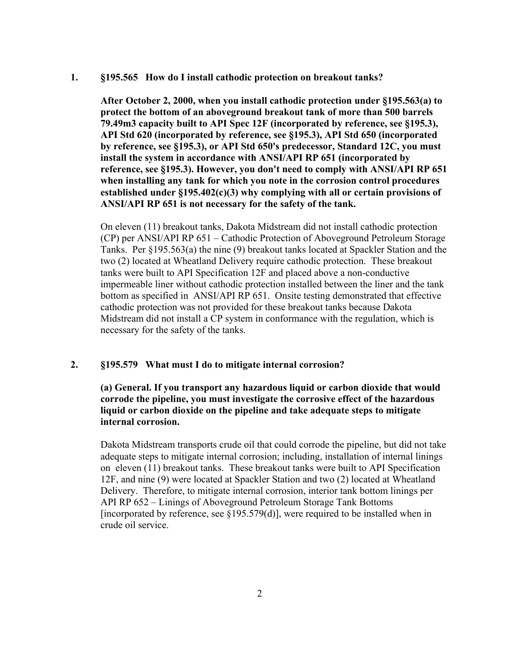#### **1. §195.565 How do I install cathodic protection on breakout tanks?**

 **After October 2, 2000, when you install cathodic protection under §195.563(a) to protect the bottom of an aboveground breakout tank of more than 500 barrels 79.49m3 capacity built to API Spec 12F (incorporated by reference, see §195.3), API Std 620 (incorporated by reference, see §195.3), API Std 650 (incorporated by reference, see §195.3), or API Std 650's predecessor, Standard 12C, you must install the system in accordance with ANSI/API RP 651 (incorporated by reference, see §195.3). However, you don't need to comply with ANSI/API RP 651 when installing any tank for which you note in the corrosion control procedures established under §195.402(c)(3) why complying with all or certain provisions of ANSI/API RP 651 is not necessary for the safety of the tank.** 

On eleven (11) breakout tanks, Dakota Midstream did not install cathodic protection (CP) per ANSI/API RP 651 – Cathodic Protection of Aboveground Petroleum Storage Tanks. Per §195.563(a) the nine (9) breakout tanks located at Spackler Station and the two (2) located at Wheatland Delivery require cathodic protection. These breakout tanks were built to API Specification 12F and placed above a non-conductive impermeable liner without cathodic protection installed between the liner and the tank bottom as specified in ANSI/API RP 651. Onsite testing demonstrated that effective cathodic protection was not provided for these breakout tanks because Dakota Midstream did not install a CP system in conformance with the regulation, which is necessary for the safety of the tanks.

## **2. §195.579 What must I do to mitigate internal corrosion?**

## **(a) General. If you transport any hazardous liquid or carbon dioxide that would corrode the pipeline, you must investigate the corrosive effect of the hazardous liquid or carbon dioxide on the pipeline and take adequate steps to mitigate internal corrosion.**

Dakota Midstream transports crude oil that could corrode the pipeline, but did not take adequate steps to mitigate internal corrosion; including, installation of internal linings on eleven (11) breakout tanks. These breakout tanks were built to API Specification 12F, and nine (9) were located at Spackler Station and two (2) located at Wheatland Delivery. Therefore, to mitigate internal corrosion, interior tank bottom linings per API RP 652 – Linings of Aboveground Petroleum Storage Tank Bottoms [incorporated by reference, see  $\S 195.579(d)$ ], were required to be installed when in crude oil service.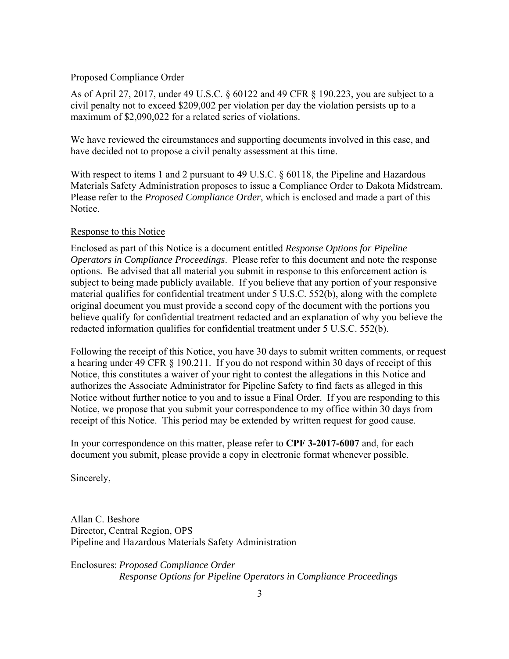## Proposed Compliance Order

As of April 27, 2017, under 49 U.S.C. § 60122 and 49 CFR § 190.223, you are subject to a civil penalty not to exceed \$209,002 per violation per day the violation persists up to a maximum of \$2,090,022 for a related series of violations.

We have reviewed the circumstances and supporting documents involved in this case, and have decided not to propose a civil penalty assessment at this time.

With respect to items 1 and 2 pursuant to 49 U.S.C. § 60118, the Pipeline and Hazardous Materials Safety Administration proposes to issue a Compliance Order to Dakota Midstream. Please refer to the *Proposed Compliance Order*, which is enclosed and made a part of this Notice.

## Response to this Notice

Enclosed as part of this Notice is a document entitled *Response Options for Pipeline Operators in Compliance Proceedings*. Please refer to this document and note the response options. Be advised that all material you submit in response to this enforcement action is subject to being made publicly available. If you believe that any portion of your responsive material qualifies for confidential treatment under 5 U.S.C. 552(b), along with the complete original document you must provide a second copy of the document with the portions you believe qualify for confidential treatment redacted and an explanation of why you believe the redacted information qualifies for confidential treatment under 5 U.S.C. 552(b).

Following the receipt of this Notice, you have 30 days to submit written comments, or request a hearing under 49 CFR § 190.211. If you do not respond within 30 days of receipt of this Notice, this constitutes a waiver of your right to contest the allegations in this Notice and authorizes the Associate Administrator for Pipeline Safety to find facts as alleged in this Notice without further notice to you and to issue a Final Order. If you are responding to this Notice, we propose that you submit your correspondence to my office within 30 days from receipt of this Notice. This period may be extended by written request for good cause.

In your correspondence on this matter, please refer to **CPF 3-2017-6007** and, for each document you submit, please provide a copy in electronic format whenever possible.

Sincerely,

Allan C. Beshore Director, Central Region, OPS Pipeline and Hazardous Materials Safety Administration

Enclosures: *Proposed Compliance Order Response Options for Pipeline Operators in Compliance Proceedings*